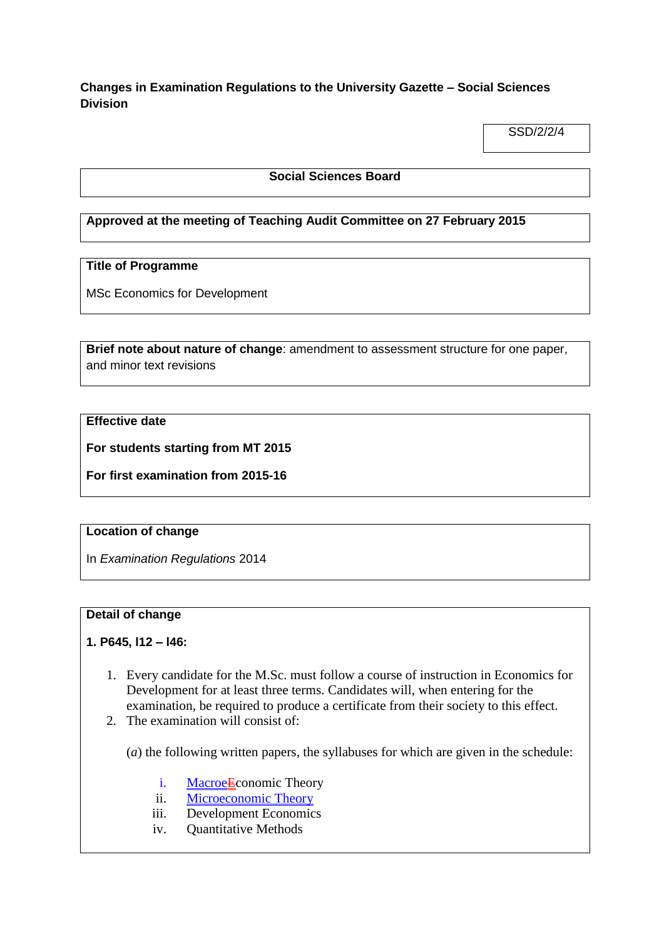**Changes in Examination Regulations to the University Gazette – Social Sciences Division**

SSD/2/2/4

#### **Social Sciences Board**

#### **Approved at the meeting of Teaching Audit Committee on 27 February 2015**

### **Title of Programme**

MSc Economics for Development

**Brief note about nature of change**: amendment to assessment structure for one paper, and minor text revisions

### **Effective date**

**For students starting from MT 2015**

**For first examination from 2015-16**

#### **Location of change**

In *Examination Regulations* 2014

#### **Detail of change**

#### **1. P645, l12 – l46:**

- 1. Every candidate for the M.Sc. must follow a course of instruction in Economics for Development for at least three terms. Candidates will, when entering for the examination, be required to produce a certificate from their society to this effect.
- 2. The examination will consist of:

(*a*) the following written papers, the syllabuses for which are given in the schedule:

- i. Macroe<del>E</del>conomic Theory
- ii. Microeconomic Theory
- iii. Development Economics
- iv. Quantitative Methods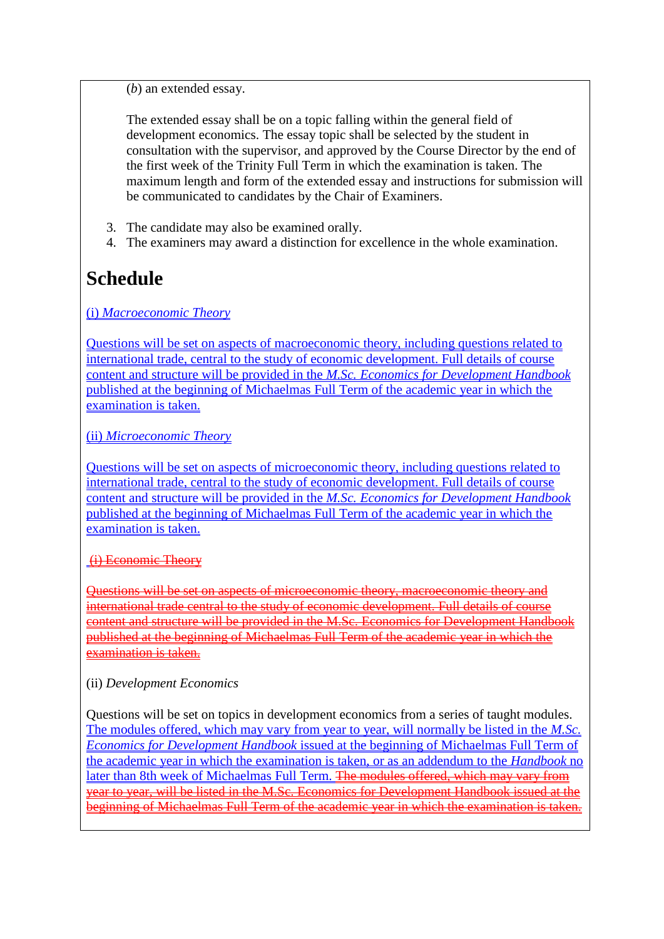(*b*) an extended essay.

The extended essay shall be on a topic falling within the general field of development economics. The essay topic shall be selected by the student in consultation with the supervisor, and approved by the Course Director by the end of the first week of the Trinity Full Term in which the examination is taken. The maximum length and form of the extended essay and instructions for submission will be communicated to candidates by the Chair of Examiners.

- 3. The candidate may also be examined orally.
- 4. The examiners may award a distinction for excellence in the whole examination.

# **Schedule**

(i) *Macroeconomic Theory*

Questions will be set on aspects of macroeconomic theory, including questions related to international trade, central to the study of economic development. Full details of course content and structure will be provided in the *M.Sc. Economics for Development Handbook* published at the beginning of Michaelmas Full Term of the academic year in which the examination is taken.

(ii) *Microeconomic Theory*

Questions will be set on aspects of microeconomic theory, including questions related to international trade, central to the study of economic development. Full details of course content and structure will be provided in the *M.Sc. Economics for Development Handbook* published at the beginning of Michaelmas Full Term of the academic year in which the examination is taken.

## (i) Economic Theory

Questions will be set on aspects of microeconomic theory, macroeconomic theory and international trade central to the study of economic development. Full details of course content and structure will be provided in the M.Sc. Economics for Development Handbook published at the beginning of Michaelmas Full Term of the academic year in which the examination is taken.

# (ii) *Development Economics*

Questions will be set on topics in development economics from a series of taught modules. The modules offered, which may vary from year to year, will normally be listed in the *M.Sc. Economics for Development Handbook* issued at the beginning of Michaelmas Full Term of the academic year in which the examination is taken, or as an addendum to the *Handbook* no later than 8th week of Michaelmas Full Term. The modules offered, which may vary from year to year, will be listed in the M.Sc. Economics for Development Handbook issued at the beginning of Michaelmas Full Term of the academic year in which the examination is taken.